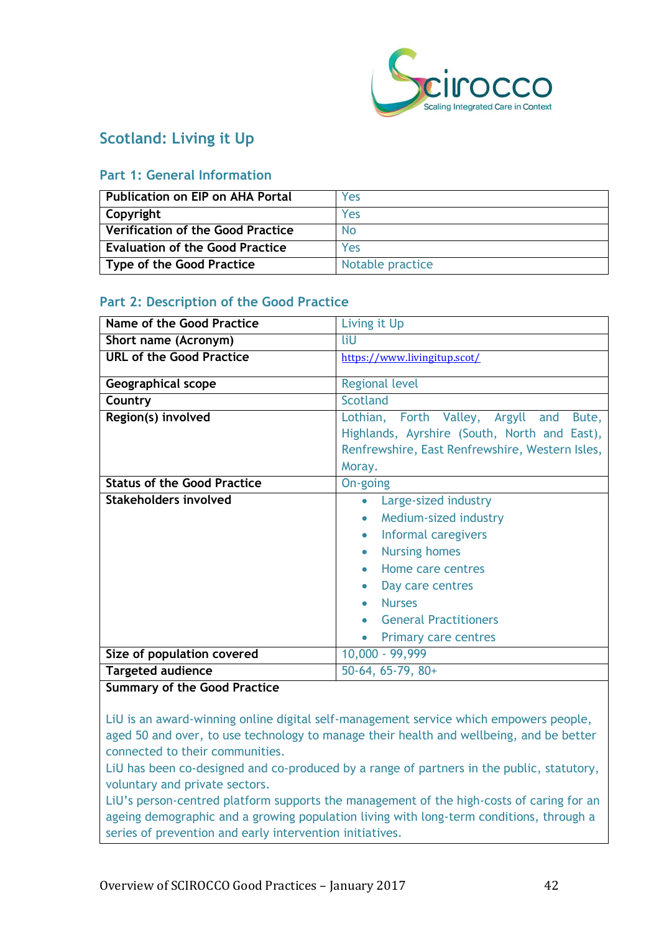

## **Scotland: Living it Up**

#### **Part 1: General Information**

| <b>Publication on EIP on AHA Portal</b> | Yes              |
|-----------------------------------------|------------------|
| Copyright                               | Yes              |
| Verification of the Good Practice       | <b>No</b>        |
| <b>Evaluation of the Good Practice</b>  | Yes              |
| Type of the Good Practice               | Notable practice |

#### **Part 2: Description of the Good Practice**

| Name of the Good Practice          | Living it Up                                                                                                                                                                                                                                    |
|------------------------------------|-------------------------------------------------------------------------------------------------------------------------------------------------------------------------------------------------------------------------------------------------|
| Short name (Acronym)               | liU                                                                                                                                                                                                                                             |
| <b>URL of the Good Practice</b>    | https://www.livingitup.scot/                                                                                                                                                                                                                    |
| Geographical scope                 | <b>Regional level</b>                                                                                                                                                                                                                           |
| Country                            | <b>Scotland</b>                                                                                                                                                                                                                                 |
| Region(s) involved                 | Lothian, Forth Valley, Argyll and<br>Bute,<br>Highlands, Ayrshire (South, North and East),<br>Renfrewshire, East Renfrewshire, Western Isles,<br>Moray.                                                                                         |
| <b>Status of the Good Practice</b> | On-going                                                                                                                                                                                                                                        |
| <b>Stakeholders involved</b>       | Large-sized industry<br>Medium-sized industry<br>Informal caregivers<br><b>Nursing homes</b><br>$\bullet$<br>Home care centres<br>Day care centres<br><b>Nurses</b><br><b>General Practitioners</b><br><b>Primary care centres</b><br>$\bullet$ |
| Size of population covered         | 10,000 - 99,999                                                                                                                                                                                                                                 |
| <b>Targeted audience</b>           | $50-64, 65-79, 80+$                                                                                                                                                                                                                             |

#### **Summary of the Good Practice**

LiU is an award-winning online digital self-management service which empowers people, aged 50 and over, to use technology to manage their health and wellbeing, and be better connected to their communities.

LiU has been co-designed and co-produced by a range of partners in the public, statutory, voluntary and private sectors.

LiU's person-centred platform supports the management of the high-costs of caring for an ageing demographic and a growing population living with long-term conditions, through a series of prevention and early intervention initiatives.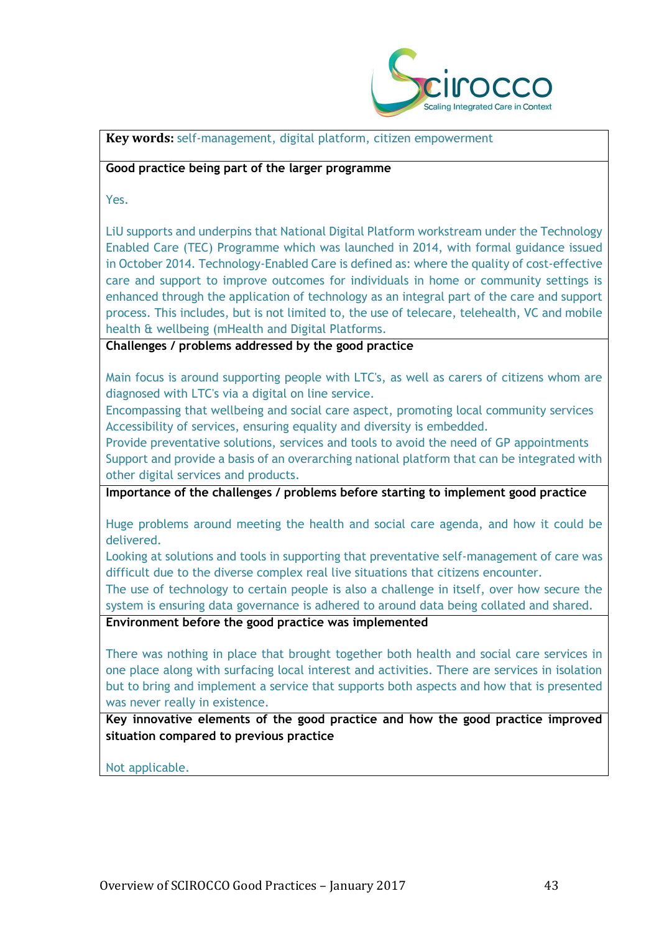

**Key words:** self-management, digital platform, citizen empowerment

#### **Good practice being part of the larger programme**

Yes.

LiU supports and underpins that National Digital Platform workstream under the Technology Enabled Care (TEC) Programme which was launched in 2014, with formal guidance issued in October 2014. Technology-Enabled Care is defined as: where the quality of cost-effective care and support to improve outcomes for individuals in home or community settings is enhanced through the application of technology as an integral part of the care and support process. This includes, but is not limited to, the use of telecare, telehealth, VC and mobile health & wellbeing (mHealth and Digital Platforms.

**Challenges / problems addressed by the good practice**

Main focus is around supporting people with LTC's, as well as carers of citizens whom are diagnosed with LTC's via a digital on line service.

Encompassing that wellbeing and social care aspect, promoting local community services Accessibility of services, ensuring equality and diversity is embedded.

Provide preventative solutions, services and tools to avoid the need of GP appointments Support and provide a basis of an overarching national platform that can be integrated with other digital services and products.

**Importance of the challenges / problems before starting to implement good practice**

Huge problems around meeting the health and social care agenda, and how it could be delivered.

Looking at solutions and tools in supporting that preventative self-management of care was difficult due to the diverse complex real live situations that citizens encounter.

The use of technology to certain people is also a challenge in itself, over how secure the system is ensuring data governance is adhered to around data being collated and shared.

**Environment before the good practice was implemented** 

There was nothing in place that brought together both health and social care services in one place along with surfacing local interest and activities. There are services in isolation but to bring and implement a service that supports both aspects and how that is presented was never really in existence.

**Key innovative elements of the good practice and how the good practice improved situation compared to previous practice**

Not applicable.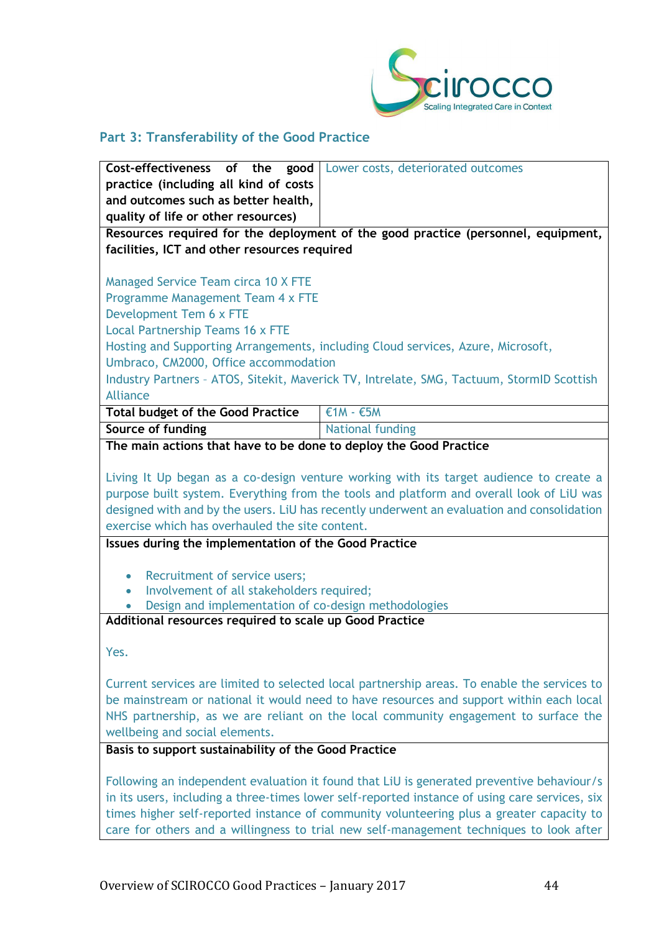

# **Part 3: Transferability of the Good Practice**

| <b>Cost-effectiveness</b> of the good Lower costs, deteriorated outcomes                                                                                                                                                                                                                                                                                                           |                                                                                            |  |
|------------------------------------------------------------------------------------------------------------------------------------------------------------------------------------------------------------------------------------------------------------------------------------------------------------------------------------------------------------------------------------|--------------------------------------------------------------------------------------------|--|
|                                                                                                                                                                                                                                                                                                                                                                                    |                                                                                            |  |
| practice (including all kind of costs                                                                                                                                                                                                                                                                                                                                              |                                                                                            |  |
| and outcomes such as better health,                                                                                                                                                                                                                                                                                                                                                |                                                                                            |  |
| quality of life or other resources)                                                                                                                                                                                                                                                                                                                                                |                                                                                            |  |
|                                                                                                                                                                                                                                                                                                                                                                                    | Resources required for the deployment of the good practice (personnel, equipment,          |  |
| facilities, ICT and other resources required                                                                                                                                                                                                                                                                                                                                       |                                                                                            |  |
|                                                                                                                                                                                                                                                                                                                                                                                    |                                                                                            |  |
| <b>Managed Service Team circa 10 X FTE</b>                                                                                                                                                                                                                                                                                                                                         |                                                                                            |  |
| Programme Management Team 4 x FTE                                                                                                                                                                                                                                                                                                                                                  |                                                                                            |  |
| Development Tem 6 x FTE                                                                                                                                                                                                                                                                                                                                                            |                                                                                            |  |
| Local Partnership Teams 16 x FTE                                                                                                                                                                                                                                                                                                                                                   |                                                                                            |  |
|                                                                                                                                                                                                                                                                                                                                                                                    | Hosting and Supporting Arrangements, including Cloud services, Azure, Microsoft,           |  |
| Umbraco, CM2000, Office accommodation                                                                                                                                                                                                                                                                                                                                              |                                                                                            |  |
|                                                                                                                                                                                                                                                                                                                                                                                    | Industry Partners - ATOS, Sitekit, Maverick TV, Intrelate, SMG, Tactuum, StormID Scottish  |  |
| <b>Alliance</b>                                                                                                                                                                                                                                                                                                                                                                    |                                                                                            |  |
| <b>Total budget of the Good Practice</b>                                                                                                                                                                                                                                                                                                                                           | $£1M - £5M$                                                                                |  |
| Source of funding                                                                                                                                                                                                                                                                                                                                                                  | <b>National funding</b>                                                                    |  |
|                                                                                                                                                                                                                                                                                                                                                                                    |                                                                                            |  |
| The main actions that have to be done to deploy the Good Practice                                                                                                                                                                                                                                                                                                                  |                                                                                            |  |
|                                                                                                                                                                                                                                                                                                                                                                                    |                                                                                            |  |
|                                                                                                                                                                                                                                                                                                                                                                                    | Living It Up began as a co-design venture working with its target audience to create a     |  |
|                                                                                                                                                                                                                                                                                                                                                                                    | purpose built system. Everything from the tools and platform and overall look of LiU was   |  |
|                                                                                                                                                                                                                                                                                                                                                                                    | designed with and by the users. LiU has recently underwent an evaluation and consolidation |  |
| exercise which has overhauled the site content.                                                                                                                                                                                                                                                                                                                                    |                                                                                            |  |
| Issues during the implementation of the Good Practice                                                                                                                                                                                                                                                                                                                              |                                                                                            |  |
|                                                                                                                                                                                                                                                                                                                                                                                    |                                                                                            |  |
| Recruitment of service users;<br>$\bullet$                                                                                                                                                                                                                                                                                                                                         |                                                                                            |  |
| Involvement of all stakeholders required;<br>$\bullet$                                                                                                                                                                                                                                                                                                                             |                                                                                            |  |
| Design and implementation of co-design methodologies                                                                                                                                                                                                                                                                                                                               |                                                                                            |  |
| Additional resources required to scale up Good Practice                                                                                                                                                                                                                                                                                                                            |                                                                                            |  |
|                                                                                                                                                                                                                                                                                                                                                                                    |                                                                                            |  |
| Yes.                                                                                                                                                                                                                                                                                                                                                                               |                                                                                            |  |
|                                                                                                                                                                                                                                                                                                                                                                                    |                                                                                            |  |
| Current services are limited to selected local partnership areas. To enable the services to                                                                                                                                                                                                                                                                                        |                                                                                            |  |
| be mainstream or national it would need to have resources and support within each local                                                                                                                                                                                                                                                                                            |                                                                                            |  |
| NHS partnership, as we are reliant on the local community engagement to surface the                                                                                                                                                                                                                                                                                                |                                                                                            |  |
| wellbeing and social elements.                                                                                                                                                                                                                                                                                                                                                     |                                                                                            |  |
| Basis to support sustainability of the Good Practice                                                                                                                                                                                                                                                                                                                               |                                                                                            |  |
|                                                                                                                                                                                                                                                                                                                                                                                    |                                                                                            |  |
|                                                                                                                                                                                                                                                                                                                                                                                    |                                                                                            |  |
|                                                                                                                                                                                                                                                                                                                                                                                    |                                                                                            |  |
|                                                                                                                                                                                                                                                                                                                                                                                    |                                                                                            |  |
|                                                                                                                                                                                                                                                                                                                                                                                    |                                                                                            |  |
| Following an independent evaluation it found that LiU is generated preventive behaviour/s<br>in its users, including a three-times lower self-reported instance of using care services, six<br>times higher self-reported instance of community volunteering plus a greater capacity to<br>care for others and a willingness to trial new self-management techniques to look after |                                                                                            |  |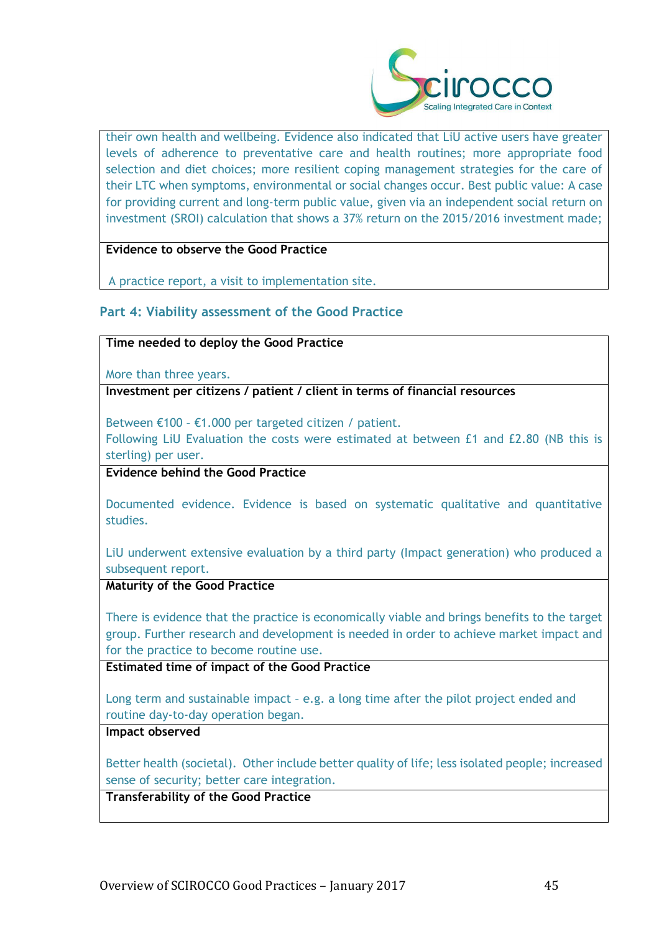

their own health and wellbeing. Evidence also indicated that LiU active users have greater levels of adherence to preventative care and health routines; more appropriate food selection and diet choices; more resilient coping management strategies for the care of their LTC when symptoms, environmental or social changes occur. Best public value: A case for providing current and long-term public value, given via an independent social return on investment (SROI) calculation that shows a 37% return on the 2015/2016 investment made;

#### **Evidence to observe the Good Practice**

A practice report, a visit to implementation site.

#### **Part 4: Viability assessment of the Good Practice**

#### **Time needed to deploy the Good Practice**

More than three years.

**Investment per citizens / patient / client in terms of financial resources**

Between €100 – €1.000 per targeted citizen / patient.

Following LiU Evaluation the costs were estimated at between £1 and £2.80 (NB this is sterling) per user.

**Evidence behind the Good Practice**

Documented evidence. Evidence is based on systematic qualitative and quantitative studies.

LiU underwent extensive evaluation by a third party (Impact generation) who produced a subsequent report.

**Maturity of the Good Practice**

There is evidence that the practice is economically viable and brings benefits to the target group. Further research and development is needed in order to achieve market impact and for the practice to become routine use.

**Estimated time of impact of the Good Practice**

Long term and sustainable impact – e.g. a long time after the pilot project ended and routine day-to-day operation began.

### **Impact observed**

Better health (societal). Other include better quality of life; less isolated people; increased sense of security; better care integration.

**Transferability of the Good Practice**